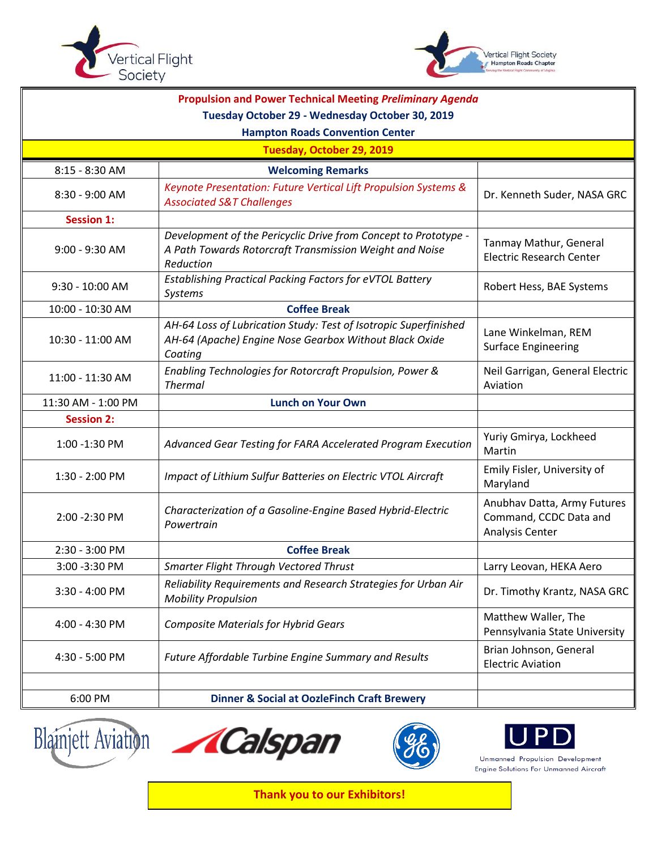



| <b>Propulsion and Power Technical Meeting Preliminary Agenda</b><br>Tuesday October 29 - Wednesday October 30, 2019<br><b>Hampton Roads Convention Center</b> |                                                                                                                                         |                                                                          |  |
|---------------------------------------------------------------------------------------------------------------------------------------------------------------|-----------------------------------------------------------------------------------------------------------------------------------------|--------------------------------------------------------------------------|--|
| Tuesday, October 29, 2019                                                                                                                                     |                                                                                                                                         |                                                                          |  |
| 8:15 - 8:30 AM                                                                                                                                                | <b>Welcoming Remarks</b>                                                                                                                |                                                                          |  |
| 8:30 - 9:00 AM                                                                                                                                                | Keynote Presentation: Future Vertical Lift Propulsion Systems &<br><b>Associated S&amp;T Challenges</b>                                 | Dr. Kenneth Suder, NASA GRC                                              |  |
| <b>Session 1:</b>                                                                                                                                             |                                                                                                                                         |                                                                          |  |
| 9:00 - 9:30 AM                                                                                                                                                | Development of the Pericyclic Drive from Concept to Prototype -<br>A Path Towards Rotorcraft Transmission Weight and Noise<br>Reduction | Tanmay Mathur, General<br><b>Electric Research Center</b>                |  |
| 9:30 - 10:00 AM                                                                                                                                               | Establishing Practical Packing Factors for eVTOL Battery<br>Systems                                                                     | Robert Hess, BAE Systems                                                 |  |
| 10:00 - 10:30 AM                                                                                                                                              | <b>Coffee Break</b>                                                                                                                     |                                                                          |  |
| 10:30 - 11:00 AM                                                                                                                                              | AH-64 Loss of Lubrication Study: Test of Isotropic Superfinished<br>AH-64 (Apache) Engine Nose Gearbox Without Black Oxide<br>Coating   | Lane Winkelman, REM<br><b>Surface Engineering</b>                        |  |
| 11:00 - 11:30 AM                                                                                                                                              | Enabling Technologies for Rotorcraft Propulsion, Power &<br><b>Thermal</b>                                                              | Neil Garrigan, General Electric<br>Aviation                              |  |
| 11:30 AM - 1:00 PM                                                                                                                                            | <b>Lunch on Your Own</b>                                                                                                                |                                                                          |  |
| <b>Session 2:</b>                                                                                                                                             |                                                                                                                                         |                                                                          |  |
| 1:00 -1:30 PM                                                                                                                                                 | Advanced Gear Testing for FARA Accelerated Program Execution                                                                            | Yuriy Gmirya, Lockheed<br>Martin                                         |  |
| 1:30 - 2:00 PM                                                                                                                                                | Impact of Lithium Sulfur Batteries on Electric VTOL Aircraft                                                                            | Emily Fisler, University of<br>Maryland                                  |  |
| 2:00 - 2:30 PM                                                                                                                                                | Characterization of a Gasoline-Engine Based Hybrid-Electric<br>Powertrain                                                               | Anubhav Datta, Army Futures<br>Command, CCDC Data and<br>Analysis Center |  |
| 2:30 - 3:00 PM                                                                                                                                                | <b>Coffee Break</b>                                                                                                                     |                                                                          |  |
| 3:00 - 3:30 PM                                                                                                                                                | Smarter Flight Through Vectored Thrust                                                                                                  | Larry Leovan, HEKA Aero                                                  |  |
| 3:30 - 4:00 PM                                                                                                                                                | Reliability Requirements and Research Strategies for Urban Air<br><b>Mobility Propulsion</b>                                            | Dr. Timothy Krantz, NASA GRC                                             |  |
| 4:00 - 4:30 PM                                                                                                                                                | <b>Composite Materials for Hybrid Gears</b>                                                                                             | Matthew Waller, The<br>Pennsylvania State University                     |  |
| 4:30 - 5:00 PM                                                                                                                                                | Future Affordable Turbine Engine Summary and Results                                                                                    | Brian Johnson, General<br><b>Electric Aviation</b>                       |  |
| 6:00 PM                                                                                                                                                       | <b>Dinner &amp; Social at OozleFinch Craft Brewery</b>                                                                                  |                                                                          |  |









Unmanned Propulsion Development Engine Solutions For Unmanned Aircraft

**Thank you to our Exhibitors!**